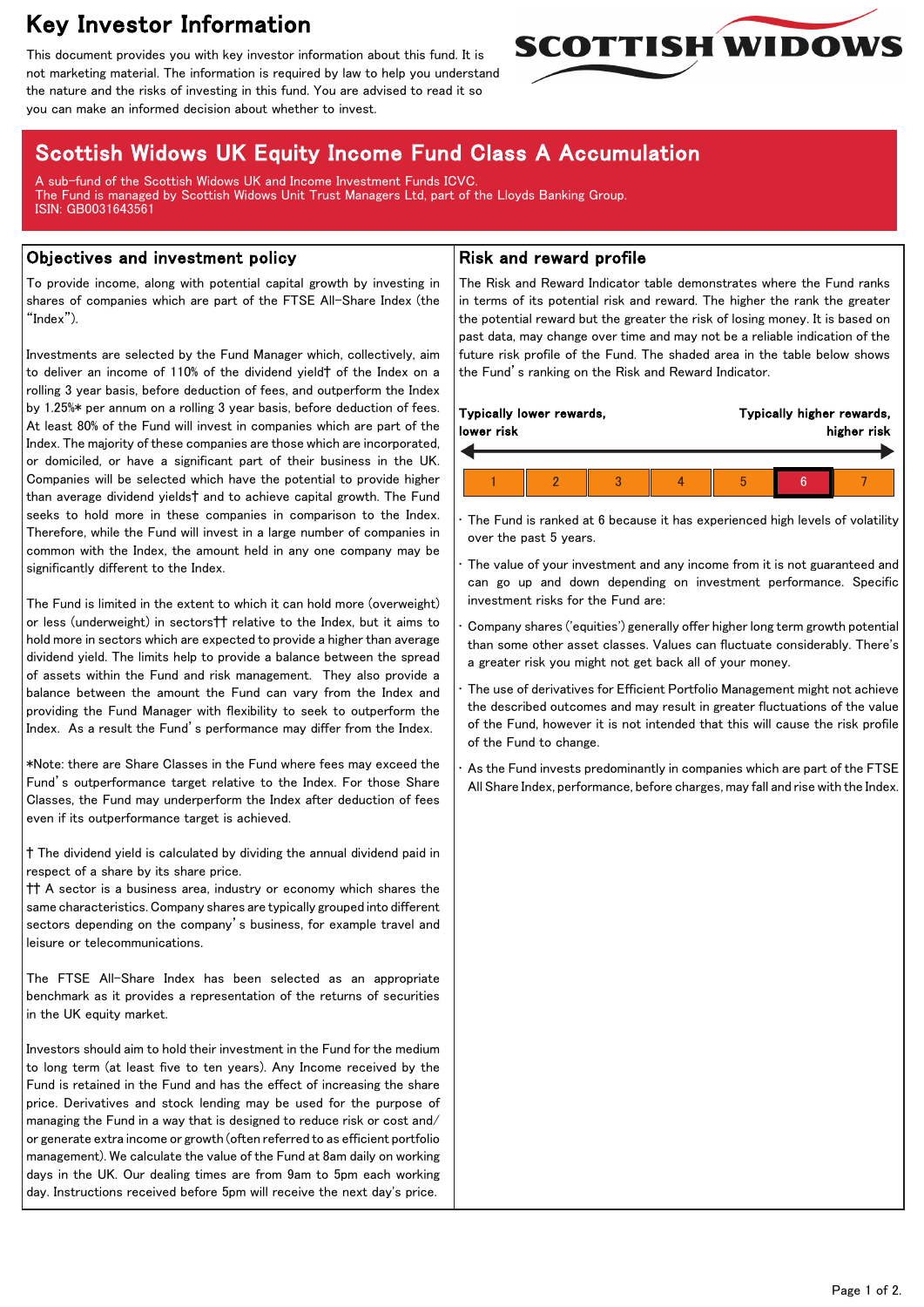# Key Investor Information

This document provides you with key investor information about this fund. It is not marketing material. The information is required by law to help you understand the nature and the risks of investing in this fund. You are advised to read it so you can make an informed decision about whether to invest.



# Scottish Widows UK Equity Income Fund Class A Accumulation

A sub-fund of the Scottish Widows UK and Income Investment Funds ICVC. The Fund is managed by Scottish Widows Unit Trust Managers Ltd, part of the Lloyds Banking Group. ISIN: GB0031643561

## Objectives and investment policy

To provide income, along with potential capital growth by investing in shares of companies which are part of the FTSE All-Share Index (the "Index").

Investments are selected by the Fund Manager which, collectively, aim to deliver an income of 110% of the dividend yield† of the Index on a rolling 3 year basis, before deduction of fees, and outperform the Index by 1.25%\* per annum on a rolling 3 year basis, before deduction of fees. At least 80% of the Fund will invest in companies which are part of the Index. The majority of these companies are those which are incorporated, or domiciled, or have a significant part of their business in the UK. Companies will be selected which have the potential to provide higher than average dividend yields† and to achieve capital growth. The Fund seeks to hold more in these companies in comparison to the Index. Therefore, while the Fund will invest in a large number of companies in common with the Index, the amount held in any one company may be significantly different to the Index.

The Fund is limited in the extent to which it can hold more (overweight) or less (underweight) in sectors†† relative to the Index, but it aims to hold more in sectors which are expected to provide a higher than average dividend yield. The limits help to provide a balance between the spread of assets within the Fund and risk management. They also provide a balance between the amount the Fund can vary from the Index and providing the Fund Manager with flexibility to seek to outperform the Index. As a result the Fund's performance may differ from the Index.

\*Note: there are Share Classes in the Fund where fees may exceed the Fund's outperformance target relative to the Index. For those Share Classes, the Fund may underperform the Index after deduction of fees even if its outperformance target is achieved.

† The dividend yield is calculated by dividing the annual dividend paid in respect of a share by its share price.

†† A sector is a business area, industry or economy which shares the same characteristics. Company shares are typically grouped into different sectors depending on the company's business, for example travel and leisure or telecommunications.

The FTSE All-Share Index has been selected as an appropriate benchmark as it provides a representation of the returns of securities in the UK equity market.

Investors should aim to hold their investment in the Fund for the medium to long term (at least five to ten years). Any Income received by the Fund is retained in the Fund and has the effect of increasing the share price. Derivatives and stock lending may be used for the purpose of managing the Fund in a way that is designed to reduce risk or cost and/ or generate extra income or growth (often referred to as efficient portfolio management). We calculate the value of the Fund at 8am daily on working days in the UK. Our dealing times are from 9am to 5pm each working day. Instructions received before 5pm will receive the next day's price.

# Risk and reward profile

The Risk and Reward Indicator table demonstrates where the Fund ranks in terms of its potential risk and reward. The higher the rank the greater the potential reward but the greater the risk of losing money. It is based on past data, may change over time and may not be a reliable indication of the future risk profile of the Fund. The shaded area in the table below shows the Fund's ranking on the Risk and Reward Indicator.

| Typically lower rewards,<br>lower risk |  |  |  | Typically higher rewards,<br>higher risk |  |  |
|----------------------------------------|--|--|--|------------------------------------------|--|--|
|                                        |  |  |  |                                          |  |  |

The Fund is ranked at 6 because it has experienced high levels of volatility over the past 5 years.

The value of your investment and any income from it is not guaranteed and can go up and down depending on investment performance. Specific investment risks for the Fund are:

• Company shares ('equities') generally offer higher long term growth potential than some other asset classes. Values can fluctuate considerably. There's a greater risk you might not get back all of your money.

The use of derivatives for Efficient Portfolio Management might not achieve the described outcomes and may result in greater fluctuations of the value of the Fund, however it is not intended that this will cause the risk profile of the Fund to change.

As the Fund invests predominantly in companies which are part of the FTSE All Share Index, performance, before charges, may fall and rise with the Index.